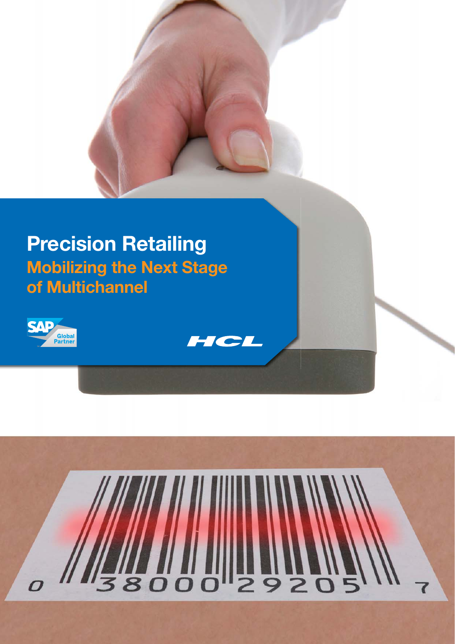# **Precision Retailing Mobilizing the Next Stage of Multichannel**





HCL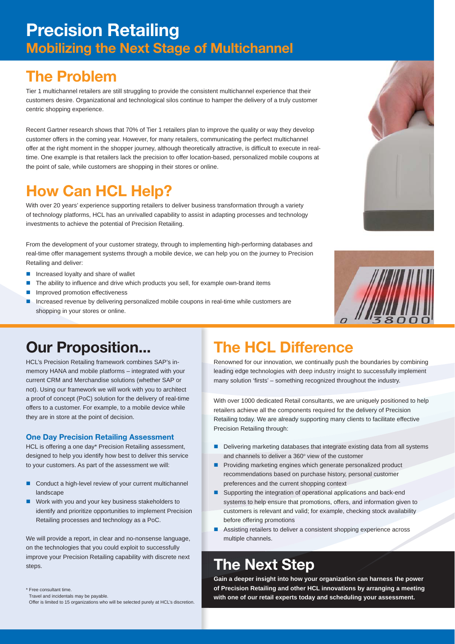### **Precision Retailing Mobilizing the Next Stage of Multichannel**

### **The Problem**

Tier 1 multichannel retailers are still struggling to provide the consistent multichannel experience that their customers desire. Organizational and technological silos continue to hamper the delivery of a truly customer centric shopping experience.

Recent Gartner research shows that 70% of Tier 1 retailers plan to improve the quality or way they develop customer offers in the coming year. However, for many retailers, communicating the perfect multichannel offer at the right moment in the shopper journey, although theoretically attractive, is difficult to execute in realtime. One example is that retailers lack the precision to offer location-based, personalized mobile coupons at the point of sale, while customers are shopping in their stores or online.

### **How Can HCL Help?**

With over 20 years' experience supporting retailers to deliver business transformation through a variety of technology platforms, HCL has an unrivalled capability to assist in adapting processes and technology investments to achieve the potential of Precision Retailing.

From the development of your customer strategy, through to implementing high-performing databases and real-time offer management systems through a mobile device, we can help you on the journey to Precision Retailing and deliver:

- Increased loyalty and share of wallet
- The ability to influence and drive which products you sell, for example own-brand items
- **Improved promotion effectiveness**
- **Increased revenue by delivering personalized mobile coupons in real-time while customers are** shopping in your stores or online.





### **Our Proposition...**

HCL's Precision Retailing framework combines SAP's inmemory HANA and mobile platforms – integrated with your current CRM and Merchandise solutions (whether SAP or not). Using our framework we will work with you to architect a proof of concept (PoC) solution for the delivery of real-time offers to a customer. For example, to a mobile device while they are in store at the point of decision.

#### **One Day Precision Retailing Assessment**

HCL is offering a one day\* Precision Retailing assessment, designed to help you identify how best to deliver this service to your customers. As part of the assessment we will:

- Conduct a high-level review of your current multichannel landscape
- Work with you and your key business stakeholders to identify and prioritize opportunities to implement Precision Retailing processes and technology as a PoC.

We will provide a report, in clear and no-nonsense language, on the technologies that you could exploit to successfully improve your Precision Retailing capability with discrete next steps.

## **The HCL Difference**

Renowned for our innovation, we continually push the boundaries by combining leading edge technologies with deep industry insight to successfully implement many solution 'firsts' - something recognized throughout the industry.

With over 1000 dedicated Retail consultants, we are uniquely positioned to help retailers achieve all the components required for the delivery of Precision Retailing today. We are already supporting many clients to facilitate effective Precision Retailing through:

- Delivering marketing databases that integrate existing data from all systems and channels to deliver a 360° view of the customer
- **Providing marketing engines which generate personalized product** recommendations based on purchase history, personal customer preferences and the current shopping context
- Supporting the integration of operational applications and back-end systems to help ensure that promotions, offers, and information given to customers is relevant and valid; for example, checking stock availability before offering promotions
- Assisting retailers to deliver a consistent shopping experience across multiple channels.

### **The Next Step**

**Gain a deeper insight into how your organization can harness the power of Precision Retailing and other HCL innovations by arranging a meeting with one of our retail experts today and scheduling your assessment.**

<sup>\*</sup> Free consultant time.

Travel and incidentals may be payable.

Offer is limited to 15 organizations who will be selected purely at HCL's discretion.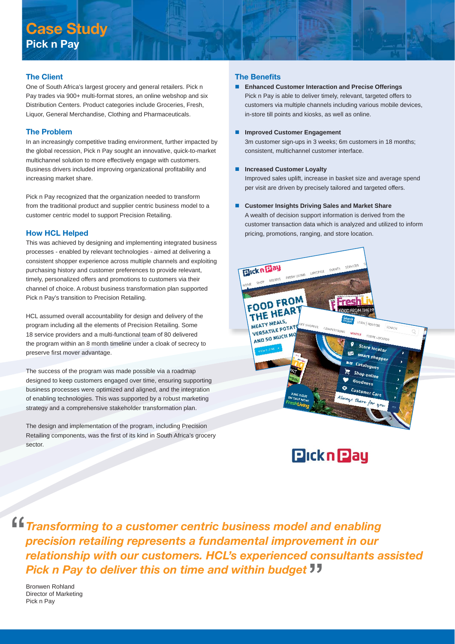### **Case Study Pick n Pay**

#### **The Client**

One of South Africa's largest grocery and general retailers. Pick n Pay trades via 900+ multi-format stores, an online webshop and six Distribution Centers. Product categories include Groceries, Fresh, Liquor, General Merchandise, Clothing and Pharmaceuticals.

#### **The Problem**

In an increasingly competitive trading environment, further impacted by the global recession, Pick n Pay sought an innovative, quick-to-market multichannel solution to more effectively engage with customers. Business drivers included improving organizational profitability and increasing market share.

Pick n Pay recognized that the organization needed to transform from the traditional product and supplier centric business model to a customer centric model to support Precision Retailing.

#### **How HCL Helped**

This was achieved by designing and implementing integrated business processes - enabled by relevant technologies - aimed at delivering a consistent shopper experience across multiple channels and exploiting purchasing history and customer preferences to provide relevant, timely, personalized offers and promotions to customers via their channel of choice. A robust business transformation plan supported Pick n Pay's transition to Precision Retailing.

HCL assumed overall accountability for design and delivery of the program including all the elements of Precision Retailing. Some 18 service providers and a multi-functional team of 80 delivered the program within an 8 month timeline under a cloak of secrecy to preserve first mover advantage.

The success of the program was made possible via a roadmap designed to keep customers engaged over time, ensuring supporting business processes were optimized and aligned, and the integration of enabling technologies. This was supported by a robust marketing strategy and a comprehensive stakeholder transformation plan.

The design and implementation of the program, including Precision Retailing components, was the first of its kind in South Africa's grocery sector.

#### **The Benefits**

- **Enhanced Customer Interaction and Precise Offerings**  Pick n Pay is able to deliver timely, relevant, targeted offers to customers via multiple channels including various mobile devices, in-store till points and kiosks, as well as online.
- **Improved Customer Engagement**

3m customer sign-ups in 3 weeks; 6m customers in 18 months; consistent, multichannel customer interface.

#### **Increased Customer Loyalty**

Improved sales uplift, increase in basket size and average spend per visit are driven by precisely tailored and targeted offers.

**Customer Insights Driving Sales and Market Share**

A wealth of decision support information is derived from the customer transaction data which is analyzed and utilized to inform pricing, promotions, ranging, and store location.





*Transforming to a customer centric business model and enabling precision retailing represents a fundamental improvement in our relationship with our customers. HCL's experienced consultants assisted Pick n Pay to deliver this on time and within budget*

Bronwen Rohland Director of Marketing Pick n Pay